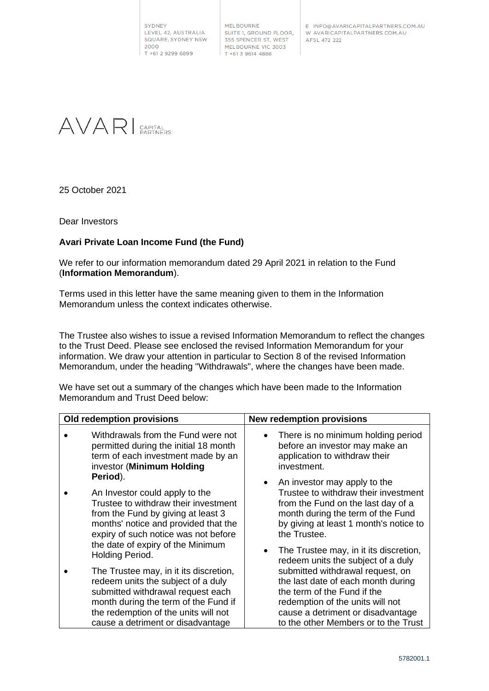SYDNEY LEVEL 42, AUSTRALIA SQUARE, SYDNEY NSW 2000 T +61 2 9299 6899

MELBOURNE SUITE 1, GROUND FLOOR, 355 SPENCER ST, WEST MELBOURNE VIC 3003  $T + 61396144888$ 

E INFO@AVARICAPITALPARTNERS.COM.AU W AVARICAPITALPARTNERS.COM.AU AFSL 472 222



25 October 2021

Dear Investors

## **Avari Private Loan Income Fund (the Fund)**

We refer to our information memorandum dated 29 April 2021 in relation to the Fund (**Information Memorandum**).

Terms used in this letter have the same meaning given to them in the Information Memorandum unless the context indicates otherwise.

The Trustee also wishes to issue a revised Information Memorandum to reflect the changes to the Trust Deed. Please see enclosed the revised Information Memorandum for your information. We draw your attention in particular to Section 8 of the revised Information Memorandum, under the heading "Withdrawals", where the changes have been made.

We have set out a summary of the changes which have been made to the Information Memorandum and Trust Deed below:

| Old redemption provisions |                                                                                                                                                                                                                                                                  | <b>New redemption provisions</b>                                                                                                                                                                                                                                      |
|---------------------------|------------------------------------------------------------------------------------------------------------------------------------------------------------------------------------------------------------------------------------------------------------------|-----------------------------------------------------------------------------------------------------------------------------------------------------------------------------------------------------------------------------------------------------------------------|
|                           | Withdrawals from the Fund were not<br>permitted during the initial 18 month<br>term of each investment made by an<br>investor (Minimum Holding                                                                                                                   | There is no minimum holding period<br>$\bullet$<br>before an investor may make an<br>application to withdraw their<br>investment.                                                                                                                                     |
|                           | Period).<br>An Investor could apply to the<br>Trustee to withdraw their investment<br>from the Fund by giving at least 3<br>months' notice and provided that the<br>expiry of such notice was not before<br>the date of expiry of the Minimum<br>Holding Period. | An investor may apply to the<br>$\bullet$<br>Trustee to withdraw their investment<br>from the Fund on the last day of a<br>month during the term of the Fund<br>by giving at least 1 month's notice to<br>the Trustee.<br>The Trustee may, in it its discretion,<br>٠ |
|                           | The Trustee may, in it its discretion,<br>redeem units the subject of a duly<br>submitted withdrawal request each<br>month during the term of the Fund if<br>the redemption of the units will not<br>cause a detriment or disadvantage                           | redeem units the subject of a duly<br>submitted withdrawal request, on<br>the last date of each month during<br>the term of the Fund if the<br>redemption of the units will not<br>cause a detriment or disadvantage<br>to the other Members or to the Trust          |